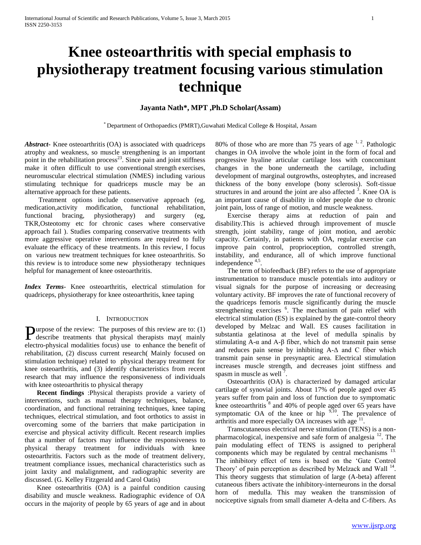# **Knee osteoarthritis with special emphasis to physiotherapy treatment focusing various stimulation technique**

# **Jayanta Nath\*, MPT ,Ph.D Scholar(Assam)**

\* Department of Orthopaedics (PMRT),Guwahati Medical College & Hospital, Assam

*Abstract***-** Knee osteoarthritis (OA) is associated with quadriceps atrophy and weakness, so muscle strengthening is an important point in the rehabilitation process<sup>23</sup>. Since pain and joint stiffness make it often difficult to use conventional strength exercises, neuromuscular electrical stimulation (NMES) including various stimulating technique for quadriceps muscle may be an alternative approach for these patients.

 Treatment options include conservative approach (eg, medication,activity modification, functional rehabilitation, functional bracing, physiotherapy) and surgery (eg, TKR,Osteotomy etc for chronic cases where conservative approach fail ). Studies comparing conservative treatments with more aggressive operative interventions are required to fully evaluate the efficacy of these treatments. In this review, I focus on various new treatment techniques for knee osteoarthritis. So this review is to introduce some new physiotherapy techniques helpful for management of knee osteoarthritis.

*Index Terms*- Knee osteoarthritis, electrical stimulation for quadriceps, physiotherapy for knee osteoarthritis, knee taping

### I. INTRODUCTION

urpose of the review: The purposes of this review are to: (1) **P**urpose of the review: The purposes of this review are to: (1) describe treatments that physical therapists may( mainly electro-physical modalities focus) use to enhance the benefit of rehabilitation, (2) discuss current research( Mainly focused on stimulation technique) related to physical therapy treatment for knee osteoarthritis, and (3) identify characteristics from recent research that may influence the responsiveness of individuals with knee osteoarthritis to physical therapy

 **Recent findings** :Physical therapists provide a variety of interventions, such as manual therapy techniques, balance, coordination, and functional retraining techniques, knee taping techniques, electrical stimulation, and foot orthotics to assist in overcoming some of the barriers that make participation in exercise and physical activity difficult. Recent research implies that a number of factors may influence the responsiveness to physical therapy treatment for individuals with knee osteoarthritis. Factors such as the mode of treatment delivery, treatment compliance issues, mechanical characteristics such as joint laxity and malalignment, and radiographic severity are discussed. (G. Kelley Fitzgerald and Carol Oatis)

Knee osteoarthritis (OA) is a painful condition causing disability and muscle weakness. Radiographic evidence of OA occurs in the majority of people by 65 years of age and in about

80% of those who are more than 75 years of age  $1, 2$ . Pathologic changes in OA involve the whole joint in the form of focal and progressive hyaline articular cartilage loss with concomitant changes in the bone underneath the cartilage, including development of marginal outgrowths, osteophytes, and increased thickness of the bony envelope (bony sclerosis). Soft-tissue structures in and around the joint are also affected  $3$ . Knee OA is an important cause of disability in older people due to chronic joint pain, loss of range of motion, and muscle weakness.

Exercise therapy aims at reduction of pain and disability.This is achieved through improvement of muscle strength, joint stability, range of joint motion, and aerobic capacity. Certainly, in patients with OA, regular exercise can improve pain control, proprioception, controlled strength, instability, and endurance, all of which improve functional independence <sup>4,5</sup>.

The term of biofeedback (BF) refers to the use of appropriate instrumentation to transduce muscle potentials into auditory or visual signals for the purpose of increasing or decreasing voluntary activity. BF improves the rate of functional recovery of the quadriceps femoris muscle significantly during the muscle strengthening exercises <sup>6</sup>. The mechanism of pain relief with electrical stimulation (ES) is explained by the gate-control theory developed by Melzac and Wall. ES causes facilitation in substantia gelatinosa at the level of medulla spinalis by stimulating A-α and A-β fiber, which do not transmit pain sense and reduces pain sense by inhibiting  $A - \Delta$  and C fiber which transmit pain sense in presynaptic area. Electrical stimulation increases muscle strength, and decreases joint stiffness and spasm in muscle as well<sup>7</sup>.

Osteoarthritis (OA) is characterized by damaged articular cartilage of synovial joints. About 17% of people aged over 45 years suffer from pain and loss of function due to symptomatic knee osteoarthritis  $\frac{8}{3}$  and 40% of people aged over 65 years have symptomatic OA of the knee or hip  $9,10$ . The prevalence of arthritis and more especially OA increases with age  $11$ .

Transcutaneous electrical nerve stimulation (TENS) is a nonpharmacological, inexpensive and safe form of analgesia  $^{12}$ . The pain modulating effect of TENS is assigned to peripheral components which may be regulated by central mechanisms <sup>13.</sup> The inhibitory effect of tens is based on the 'Gate Control Theory' of pain perception as described by Melzack and Wall  $^{14}$ . This theory suggests that stimulation of large (A-beta) afferent cutaneous fibers activate the inhibitory-interneurons in the dorsal horn of medulla. This may weaken the transmission of nociceptive signals from small diameter A-delta and C-fibers. As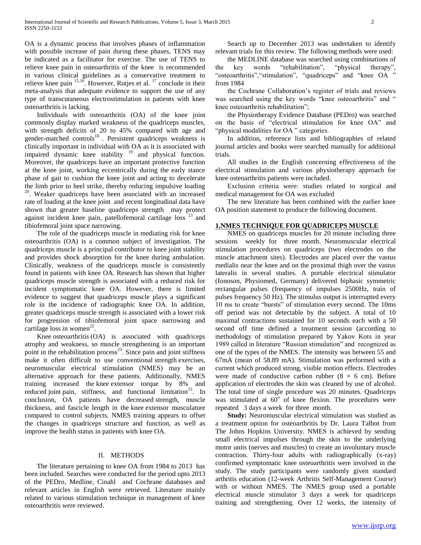OA is a dynamic process that involves phases of inflammation with possible increase of pain during these phases, TENS may be indicated as a facilitator for exercise. The use of TENS to relieve knee pain in osteoarthritis of the knee is recommended in various clinical guidelines as a conservative treatment to relieve knee pain  $15,16$ . However, Rutjes et al.  $17$  conclude in their meta-analysis that adequate evidence to support the use of any type of transcutaneous electrostimulation in patients with knee osteoarthritis is lacking.

Individuals with osteoarthritis (OA) of the knee joint commonly display marked weakness of the quadriceps muscles, with strength deficits of 20 to 45% compared with age and gender-matched controls<sup>18</sup>. Persistent quadriceps weakness is clinically important in individual with OA as it is associated with impaired dynamic knee stability <sup>19</sup> and physical function. Moreover, the quadriceps have an important protective function at the knee joint, working eccentrically during the early stance phase of gait to cushion the knee joint and acting to decelerate the limb prior to heel strike, thereby reducing impulsive loading <sup>20</sup>. Weaker quadriceps have been associated with an increased rate of loading at the knee joint and recent longitudinal data have shown that greater baseline quadriceps strength may protect against incident knee pain, patellofemoral cartilage  $loss^{-21}$  and tibiofemoral joint space narrowing.

The role of the quadriceps muscle in mediating risk for knee osteoarthritis (OA) is a common subject of investigation. The quadriceps muscle is a principal contributor to knee joint stability and provides shock absorption for the knee during ambulation. Clinically, weakness of the quadriceps muscle is consistently found in patients with knee OA. Research has shown that higher quadriceps muscle strength is associated with a reduced risk for incident symptomatic knee OA. However, there is limited evidence to suggest that quadriceps muscle plays a significant role in the incidence of radiographic knee OA. In addition, greater quadriceps muscle strength is associated with a lower risk for progression of tibiofemoral joint space narrowing and cartilage loss in women<sup>22</sup>.

Knee osteoarthritis (OA) is associated with quadriceps atrophy and weakness, so muscle strengthening is an important point in the rehabilitation process<sup>23</sup>. Since pain and joint stiffness make it often difficult to use conventional strength exercises, neuromuscular electrical stimulation (NMES) may be an alternative approach for these patients. Additionally, NMES training increased the knee extensor torque by 8% and reduced joint pain, stiffness, and functional limitation<sup>23</sup>. In conclusion, OA patients have decreased strength, muscle thickness, and fascicle length in the knee extensor musculature compared to control subjects. NMES training appears to offset the changes in quadriceps structure and function, as well as improve the health status in patients with knee OA.

## II. METHODS

The literature pertaining to knee OA from 1984 to 2013 has been included. Searches were conducted for the period upto 2013 of the PEDro, Medline, Cinahl and Cochrane databases and relevant articles in English were retrieved. Literature mainly related to various stimulation technique in management of knee osteoarthritis were reviewed.

Search up to December 2013 was undertaken to identify relevant trials for this review. The following methods were used:

the MEDLINE database was searched using combinations of the key words "rehabilitation", "physical therapy", "osteoarthritis","stimulation", "quadriceps" and "knee OA " from 1984

the Cochrane Collaboration's register of trials and reviews was searched using the key words "knee osteoarthritis" and " knee osteoarthritis rehabilitation";

the Physiotherapy Evidence Database (PEDro) was searched on the basis of "electrical stimulation for knee OA" and "physical modalities for OA " categories.

In addition, reference lists and bibliographies of related journal articles and books were searched manually for additional trials.

All studies in the English concerning effectiveness of the electrical stimulation and various physiotherapy approach for knee osteoarthritis patients were included.

Exclusion criteria were: studies related to surgical and medical management for OA was excluded

The new literature has been combined with the earlier knee OA position statement to produce the following document.

#### **1.NMES TECHNIQUE FOR QUADRICEPS MUSCLE**

NMES on quadriceps muscles for 20 minute including three sessions weekly for three month. Neuromuscular electrical stimulation procedures on quadriceps (two electrodes on the muscle attachment sites). Electrodes are placed over the vastus medialis near the knee and on the proximal thigh over the vastus lateralis in several studies. A portable electrical stimulator (Ionoson, Physiomed, Germany) delivered biphasic symmetric rectangular pulses (frequency of impulses 2500Hz, train of pulses frequency 50 Hz). The stimulus output is interrupted every 10 ms to create "bursts" of stimulation every second. The 10ms off period was not detectable by the subject. A total of 10 maximal contractions sustained for 10 seconds each with a 50 second off time defined a treatment session (according to methodology of stimulation prepared by Yakov Kots in year 1989 called in literature "Russian stimulation" and recognized as one of the types of the NMES. The intensity was between 55 and 67mA (mean of 58.89 mA). Stimulation was performed with a current which produced strong, visible motion effects. Electrodes were made of conductive carbon rubber  $(8 \times 6 \text{ cm})$ . Before application of electrodes the skin was cleaned by use of alcohol. The total time of single procedure was 20 minutes. Quadriceps was stimulated at  $60^{\circ}$  of knee flexion. The procedures were repeated 3 days a week for three month.

 **Study:** Neuromuscular electrical stimulation was studied as a treatment option for osteoarthritis by Dr. Laura Talbot from The Johns Hopkins University. NMES is achieved by sending small electrical impulses through the skin to the underlying motor units (nerves and muscles) to create an involuntary muscle contraction. Thirty-four adults with radiographically (x-ray) confirmed symptomatic knee osteoarthritis were involved in the study. The study participants were randomly given standard arthritis education (12-week Arthritis Self-Management Course) with or without NMES. The NMES group used a portable electrical muscle stimulator 3 days a week for quadriceps training and strengthening. Over 12 weeks, the intensity of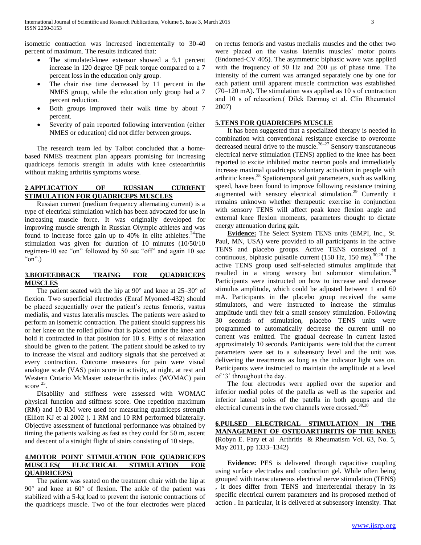isometric contraction was increased incrementally to 30-40 percent of maximum. The results indicated that:

- The stimulated-knee extensor showed a 9.1 percent increase in 120 degree QF peak torque compared to a 7 percent loss in the education only group.
- The chair rise time decreased by 11 percent in the NMES group, while the education only group had a 7 percent reduction.
- Both groups improved their walk time by about 7 percent.
- Severity of pain reported following intervention (either NMES or education) did not differ between groups.

The research team led by Talbot concluded that a homebased NMES treatment plan appears promising for increasing quadriceps femoris strength in adults with knee osteoarthritis without making arthritis symptoms worse.

## **2**.**APPLICATION OF RUSSIAN CURRENT STIMULATION FOR QUADRICEPS MUSCLES**

Russian current (medium frequency alternating current) is a type of electrical stimulation which has been advocated for use in increasing muscle force. It was originally developed for improving muscle strength in Russian Olympic athletes and was found to increase force gain up to  $40\%$  in elite athleltes.<sup>24</sup>The stimulation was given for duration of 10 minutes (10/50/10 regimen-10 sec "on" followed by 50 sec "off" and again 10 sec "on".)

## **3.BIOFEEDBACK TRAING FOR QUADRICEPS MUSCLES**

The patient seated with the hip at  $90^\circ$  and knee at  $25-30^\circ$  of flexion. Two superficial electrodes (Enraf Myomed-432) should be placed sequentially over the patient's rectus femoris, vastus medialis, and vastus lateralis muscles. The patients were asked to perform an isometric contraction. The patient should suppress his or her knee on the rolled pillow that is placed under the knee and hold it contracted in that position for 10 s. Fifty s of relaxation should be given to the patient. The patient should be asked to try to increase the visual and auditory signals that she perceived at every contraction. Outcome measures for pain were visual analogue scale (VAS) pain score in activity, at night, at rest and Western Ontario McMaster osteoarthritis index (WOMAC) pain score <sup>25</sup>.

Disability and stiffness were assessed with WOMAC physical function and stiffness score. One repetition maximum (RM) and 10 RM were used for measuring quadriceps strength (Elliott KJ et al 2002 ). 1 RM and 10 RM performed bilaterally. Objective assessment of functional performance was obtained by timing the patients walking as fast as they could for 50 m, ascent and descent of a straight flight of stairs consisting of 10 steps.

# **4.MOTOR POINT STIMULATION FOR QUADRICEPS MUSCLES( ELECTRICAL STIMULATION FOR QUADRICEPS)**

The patient was seated on the treatment chair with the hip at 90° and knee at 60° of flexion. The ankle of the patient was stabilized with a 5-kg load to prevent the isotonic contractions of the quadriceps muscle. Two of the four electrodes were placed

on rectus femoris and vastus medialis muscles and the other two were placed on the vastus lateralis muscles' motor points (Endomed-CV 405). The asymmetric biphasic wave was applied with the frequency of 50 Hz and 200 μs of phase time. The intensity of the current was arranged separately one by one for each patient until apparent muscle contraction was established (70–120 mA). The stimulation was applied as 10 s of contraction and 10 s of relaxation.( Dilek Durmuş et al. Clin Rheumatol 2007)

## **5.TENS FOR QUADRICEPS MUSCLE**

It has been suggested that a specialized therapy is needed in combination with conventional resistance exercise to overcome decreased neural drive to the muscle.<sup>26–27</sup> Sensory transcutaneous electrical nerve stimulation (TENS) applied to the knee has been reported to excite inhibited motor neuron pools and immediately increase maximal quadriceps voluntary activation in people with arthritic knees.<sup>28</sup> Spatiotemporal gait parameters, such as walking speed, have been found to improve following resistance training augmented with sensory electrical stimulation.<sup>29</sup> Currently it remains unknown whether therapeutic exercise in conjunction with sensory TENS will affect peak knee flexion angle and external knee flexion moments, parameters thought to dictate energy attenuation during gait.

 **Evidence:** The Select System TENS units (EMPI, Inc., St. Paul, MN, USA) were provided to all participants in the active TENS and placebo groups. Active TENS consisted of a continuous, biphasic pulsatile current (150 Hz, 150 ms).<sup>30,28</sup> The active TENS group used self-selected stimulus amplitude that resulted in a strong sensory but submotor stimulation.<sup>28</sup> Participants were instructed on how to increase and decrease stimulus amplitude, which could be adjusted between 1 and 60 mA. Participants in the placebo group received the same stimulators, and were instructed to increase the stimulus amplitude until they felt a small sensory stimulation. Following 30 seconds of stimulation, placebo TENS units were programmed to automatically decrease the current until no current was emitted. The gradual decrease in current lasted approximately 10 seconds. Participants were told that the current parameters were set to a subsensory level and the unit was delivering the treatments as long as the indicator light was on. Participants were instructed to maintain the amplitude at a level of '3' throughout the day.

The four electrodes were applied over the superior and inferior medial poles of the patella as well as the superior and inferior lateral poles of the patella in both groups and the electrical currents in the two channels were crossed. $30,28$ 

# **6.PULSED ELECTRICAL STIMULATION IN THE MANAGEMENT OF OSTEOARTHRITIS OF THE KNEE (**Robyn E. Fary et al Arthritis & Rheumatism Vol. 63, No. 5, May 2011, pp 1333–1342)

 **Evidence:** PES is delivered through capacitive coupling using surface electrodes and conduction gel. While often being grouped with transcutaneous electrical nerve stimulation (TENS) , it does differ from TENS and interferential therapy in its specific electrical current parameters and its proposed method of action . In particular, it is delivered at subsensory intensity. That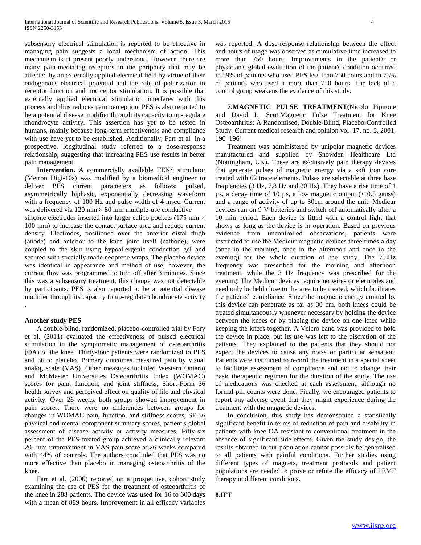subsensory electrical stimulation is reported to be effective in managing pain suggests a local mechanism of action. This mechanism is at present poorly understood. However, there are many pain-mediating receptors in the periphery that may be affected by an externally applied electrical field by virtue of their endogenous electrical potential and the role of polarization in receptor function and nociceptor stimulation. It is possible that externally applied electrical stimulation interferes with this process and thus reduces pain perception. PES is also reported to be a potential disease modifier through its capacity to up-regulate chondrocyte activity. This assertion has yet to be tested in humans, mainly because long-term effectiveness and compliance with use have yet to be established. Additionally, Farr et al in a prospective, longitudinal study referred to a dose-response relationship, suggesting that increasing PES use results in better pain management.

 **Intervention.** A commercially available TENS stimulator (Metron Digi-10s) was modified by a biomedical engineer to deliver PES current parameters as follows: pulsed, asymmetrically biphasic, exponentially decreasing waveform with a frequency of 100 Hz and pulse width of 4 msec. Current was delivered via 120 mm  $\times$  80 mm multiple-use conductive silicone electrodes inserted into larger calico pockets (175 mm  $\times$ 100 mm) to increase the contact surface area and reduce current density. Electrodes, positioned over the anterior distal thigh

(anode) and anterior to the knee joint itself (cathode), were coupled to the skin using hypoallergenic conduction gel and secured with specially made neoprene wraps. The placebo device was identical in appearance and method of use; however, the current flow was programmed to turn off after 3 minutes. Since this was a subsensory treatment, this change was not detectable by participants. PES is also reported to be a potential disease modifier through its capacity to up-regulate chondrocyte activity

## **Another study PES**

.

A double-blind, randomized, placebo-controlled trial by Fary et al. (2011) evaluated the effectiveness of pulsed electrical stimulation in the symptomatic management of osteoarthritis (OA) of the knee. Thirty-four patients were randomized to PES and 36 to placebo. Primary outcomes measured pain by visual analog scale (VAS). Other measures included Western Ontario and McMaster Universities Osteoarthritis Index (WOMAC) scores for pain, function, and joint stiffness, Short-Form 36 health survey and perceived effect on quality of life and physical activity. Over 26 weeks, both groups showed improvement in pain scores. There were no differences between groups for changes in WOMAC pain, function, and stiffness scores, SF-36 physical and mental component summary scores, patient's global assessment of disease activity or activity measures. Fifty-six percent of the PES-treated group achieved a clinically relevant 20- mm improvement in VAS pain score at 26 weeks compared with 44% of controls. The authors concluded that PES was no more effective than placebo in managing osteoarthritis of the knee.

Farr et al. (2006) reported on a prospective, cohort study examining the use of PES for the treatment of osteoarthritis of the knee in 288 patients. The device was used for 16 to 600 days with a mean of 889 hours. Improvement in all efficacy variables

was reported. A dose-response relationship between the effect and hours of usage was observed as cumulative time increased to more than 750 hours. Improvements in the patient's or physician's global evaluation of the patient's condition occurred in 59% of patients who used PES less than 750 hours and in 73% of patient's who used it more than 750 hours. The lack of a control group weakens the evidence of this study.

 **7.MAGNETIC PULSE TREATMENT(**Nicolo Pipitone and David L. Scot.Magnetic Pulse Treatment for Knee Osteoarthritis: A Randomised, Double-Blind, Placebo-Controlled Study. Current medical research and opinion vol. 17, no. 3, 2001, 190–196)

Treatment was administered by unipolar magnetic devices manufactured and supplied by Snowden Healthcare Ltd (Nottingham, UK). These are exclusively pain therapy devices that generate pulses of magnetic energy via a soft iron core treated with 62 trace elements. Pulses are selectable at three base frequencies (3 Hz, 7.8 Hz and 20 Hz). They have a rise time of 1  $\mu$ s, a decay time of 10  $\mu$ s, a low magnetic output (< 0.5 gauss) and a range of activity of up to 30cm around the unit. Medicur devices run on 9 V batteries and switch off automatically after a 10 min period. Each device is fitted with a control light that shows as long as the device is in operation. Based on previous evidence from uncontrolled observations, patients were instructed to use the Medicur magnetic devices three times a day (once in the morning, once in the afternoon and once in the evening) for the whole duration of the study. The 7.8Hz frequency was prescribed for the morning and afternoon treatment, while the 3 Hz frequency was prescribed for the evening. The Medicur devices require no wires or electrodes and need only be held close to the area to be treated, which facilitates the patients' compliance. Since the magnetic energy emitted by this device can penetrate as far as 30 cm, both knees could be treated simultaneously whenever necessary by holding the device between the knees or by placing the device on one knee while keeping the knees together. A Velcro band was provided to hold the device in place, but its use was left to the discretion of the patients. They explained to the patients that they should not expect the devices to cause any noise or particular sensation. Patients were instructed to record the treatment in a special sheet to facilitate assessment of compliance and not to change their basic therapeutic regimen for the duration of the study. The use of medications was checked at each assessment, although no formal pill counts were done. Finally, we encouraged patients to report any adverse event that they might experience during the treatment with the magnetic devices.

In conclusion, this study has demonstrated a statistically significant benefit in terms of reduction of pain and disability in patients with knee OA resistant to conventional treatment in the absence of significant side-effects. Given the study design, the results obtained in our population cannot possibly be generalised to all patients with painful conditions. Further studies using different types of magnets, treatment protocols and patient populations are needed to prove or refute the efficacy of PEMF therapy in different conditions.

## **8.IFT**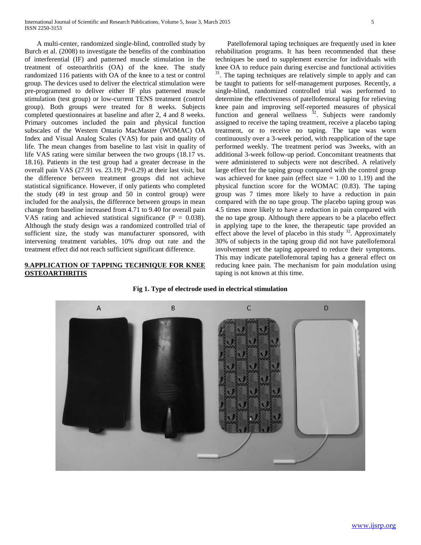A multi-center, randomized single-blind, controlled study by Burch et al. (2008) to investigate the benefits of the combination of interferential (IF) and patterned muscle stimulation in the treatment of osteoarthritis (OA) of the knee. The study randomized 116 patients with OA of the knee to a test or control group. The devices used to deliver the electrical stimulation were pre-programmed to deliver either IF plus patterned muscle stimulation (test group) or low-current TENS treatment (control group). Both groups were treated for 8 weeks. Subjects completed questionnaires at baseline and after 2, 4 and 8 weeks. Primary outcomes included the pain and physical function subscales of the Western Ontario MacMaster (WOMAC) OA Index and Visual Analog Scales (VAS) for pain and quality of life. The mean changes from baseline to last visit in quality of life VAS rating were similar between the two groups (18.17 vs. 18.16). Patients in the test group had a greater decrease in the overall pain VAS (27.91 vs. 23.19; P=0.29) at their last visit, but the difference between treatment groups did not achieve statistical significance. However, if only patients who completed the study (49 in test group and 50 in control group) were included for the analysis, the difference between groups in mean change from baseline increased from 4.71 to 9.40 for overall pain VAS rating and achieved statistical significance ( $P = 0.038$ ). Although the study design was a randomized controlled trial of sufficient size, the study was manufacturer sponsored, with intervening treatment variables, 10% drop out rate and the treatment effect did not reach sufficient significant difference.

# **9.APPLICATION OF TAPPING TECHNIQUE FOR KNEE OSTEOARTHRITIS**

Patellofemoral taping techniques are frequently used in knee rehabilitation programs. It has been recommended that these techniques be used to supplement exercise for individuals with knee OA to reduce pain during exercise and functional activities <sup>31</sup>. The taping techniques are relatively simple to apply and can be taught to patients for self-management purposes. Recently, a single-blind, randomized controlled trial was performed to determine the effectiveness of patellofemoral taping for relieving knee pain and improving self-reported measures of physical function and general wellness <sup>32</sup>. Subjects were randomly assigned to receive the taping treatment, receive a placebo taping treatment, or to receive no taping. The tape was worn continuously over a 3-week period, with reapplication of the tape performed weekly. The treatment period was 3weeks, with an additional 3-week follow-up period. Concomitant treatments that were administered to subjects were not described. A relatively large effect for the taping group compared with the control group was achieved for knee pain (effect size  $= 1.00$  to 1.19) and the physical function score for the WOMAC (0.83). The taping group was 7 times more likely to have a reduction in pain compared with the no tape group. The placebo taping group was 4.5 times more likely to have a reduction in pain compared with the no tape group. Although there appears to be a placebo effect in applying tape to the knee, the therapeutic tape provided an effect above the level of placebo in this study  $32$ . Approximately 30% of subjects in the taping group did not have patellofemoral involvement yet the taping appeared to reduce their symptoms. This may indicate patellofemoral taping has a general effect on reducing knee pain. The mechanism for pain modulation using taping is not known at this time.



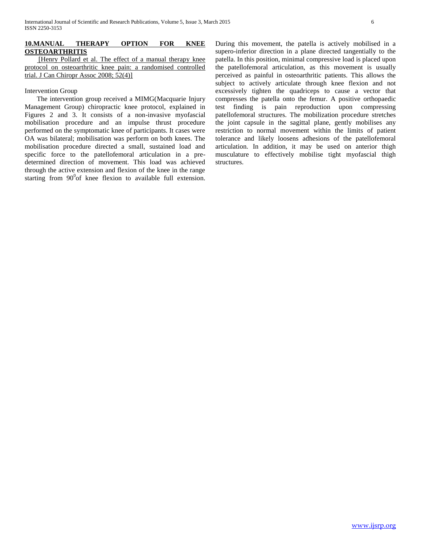## **10.MANUAL THERAPY OPTION FOR KNEE OSTEOARTHRITIS**

[Henry Pollard et al. The effect of a manual therapy knee protocol on osteoarthritic knee pain: a randomised controlled trial. J Can Chiropr Assoc 2008; 52(4)]

## Intervention Group

The intervention group received a MIMG(Macquarie Injury Management Group) chiropractic knee protocol, explained in Figures 2 and 3. It consists of a non-invasive myofascial mobilisation procedure and an impulse thrust procedure performed on the symptomatic knee of participants. It cases were OA was bilateral; mobilisation was perform on both knees. The mobilisation procedure directed a small, sustained load and specific force to the patellofemoral articulation in a predetermined direction of movement. This load was achieved through the active extension and flexion of the knee in the range starting from  $90^0$ of knee flexion to available full extension. During this movement, the patella is actively mobilised in a supero-inferior direction in a plane directed tangentially to the patella. In this position, minimal compressive load is placed upon the patellofemoral articulation, as this movement is usually perceived as painful in osteoarthritic patients. This allows the subject to actively articulate through knee flexion and not excessively tighten the quadriceps to cause a vector that compresses the patella onto the femur. A positive orthopaedic test finding is pain reproduction upon compressing patellofemoral structures. The mobilization procedure stretches the joint capsule in the sagittal plane, gently mobilises any restriction to normal movement within the limits of patient tolerance and likely loosens adhesions of the patellofemoral articulation. In addition, it may be used on anterior thigh musculature to effectively mobilise tight myofascial thigh structures.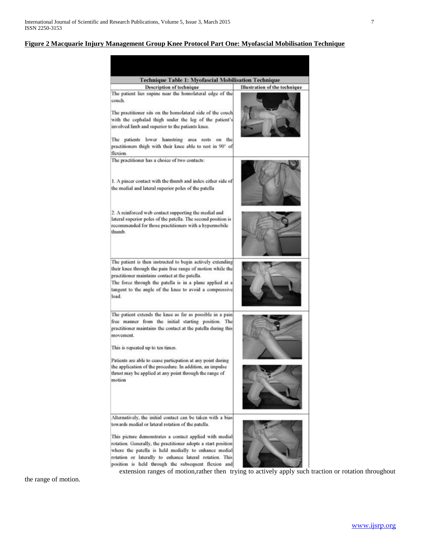## **Figure 2 Macquarie Injury Management Group Knee Protocol Part One: Myofascial Mobilisation Technique**

Technique Table 1: Myofascial Mobilisation Technique **Description of technique** Illustration of the technique The patient lies supine near the homolateral edge of the couch. The practitioner sits on the homolateral side of the couch with the cephalad thigh under the leg of the patient's involved limb and superior to the patients knee. The patients lower hamstring area rests on the practitioners thigh with their knee able to rest in 90° of flexion. The practitioner has a choice of two contacts: 1. A pincer contact with the thumb and index either side of the medial and lateral superior poles of the patella 2. A reinforced web contact supporting the medial and lateral superior poles of the patella. The second position is recommended for those practitioners with a hypermobile thumb. The patient is then instructed to begin actively extending their knee through the pain free range of motion while the practitioner maintains contact at the patella. The force through the patella is in a plane applied at a tangent to the angle of the knee to avoid a compressive load. The patient extends the knee as far as possible in a pain free manner from the initial starting position. The practitioner maintains the contact at the patella during this movement. This is repeated up to ten times. Patients are able to cease particpation at any point during the application of the procedure. In addition, an impulse thrust may be applied at any point through the range of motion Alternatively, the initial contact can be taken with a bias towards medial or lateral rotation of the patella. This picture demonstrates a contact applied with medial rotation. Generally, the practitioner adopts a start position where the patella is held medially to enhance medial rotation or laterally to enhance lateral rotation. This position is held through the subsequent flexion and extension ranges of motion,rather then trying to actively apply such traction or rotation throughout

the range of motion.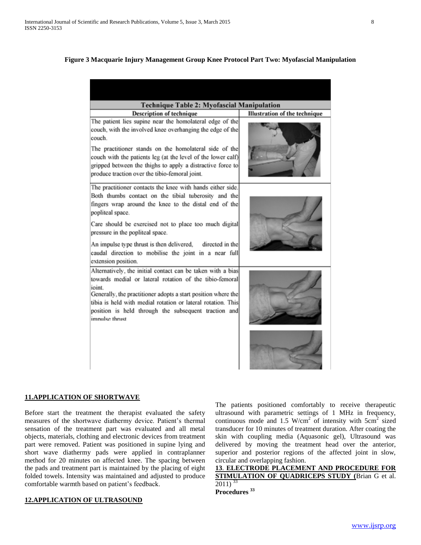# **Figure 3 Macquarie Injury Management Group Knee Protocol Part Two: Myofascial Manipulation**

| <b>Technique Table 2: Myofascial Manipulation</b>                                                                                                                                                                                                                                                                                                                                                                                          |                               |
|--------------------------------------------------------------------------------------------------------------------------------------------------------------------------------------------------------------------------------------------------------------------------------------------------------------------------------------------------------------------------------------------------------------------------------------------|-------------------------------|
| <b>Description of technique</b>                                                                                                                                                                                                                                                                                                                                                                                                            | Illustration of the technique |
| The patient lies supine near the homolateral edge of the<br>couch, with the involved knee overhanging the edge of the<br>couch.<br>The practitioner stands on the homolateral side of the<br>couch with the patients leg (at the level of the lower calf)<br>gripped between the thighs to apply a distractive force to<br>produce traction over the tibio-femoral joint.                                                                  |                               |
| The practitioner contacts the knee with hands either side.<br>Both thumbs contact on the tibial tuberosity and the<br>fingers wrap around the knee to the distal end of the<br>popliteal space.<br>Care should be exercised not to place too much digital<br>pressure in the popliteal space.<br>An impulse type thrust is then delivered, directed in the<br>caudal direction to mobilise the joint in a near full<br>extension position. |                               |
| Alternatively, the initial contact can be taken with a bias<br>towards medial or lateral rotation of the tibio-femoral<br>ioint.<br>Generally, the practitioner adopts a start position where the<br>tibia is held with medial rotation or lateral rotation. This<br>position is held through the subsequent traction and<br>impulse thrust                                                                                                |                               |

# **11.APPLICATION OF SHORTWAVE**

Before start the treatment the therapist evaluated the safety measures of the shortwave diathermy device. Patient's thermal sensation of the treatment part was evaluated and all metal objects, materials, clothing and electronic devices from treatment part were removed. Patient was positioned in supine lying and short wave diathermy pads were applied in contraplanner method for 20 minutes on affected knee. The spacing between the pads and treatment part is maintained by the placing of eight folded towels. Intensity was maintained and adjusted to produce comfortable warmth based on patient's feedback.

# **12.APPLICATION OF ULTRASOUND**

The patients positioned comfortably to receive therapeutic ultrasound with parametric settings of 1 MHz in frequency, continuous mode and 1.5 W/cm<sup>2</sup> of intensity with  $5cm^2$  sized transducer for 10 minutes of treatment duration. After coating the skin with coupling media (Aquasonic gel), Ultrasound was delivered by moving the treatment head over the anterior, superior and posterior regions of the affected joint in slow, circular and overlapping fashion.

**13**. **ELECTRODE PLACEMENT AND PROCEDURE FOR STIMULATION OF QUADRICEPS STUDY (**Brian G et al.  $2011$ )<sup>33</sup> **Procedures <sup>33</sup>**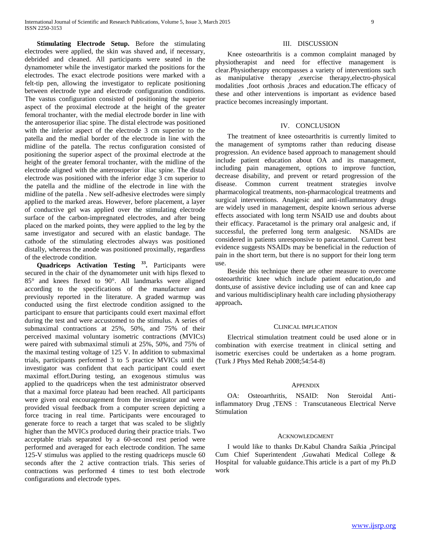**Stimulating Electrode Setup.** Before the stimulating electrodes were applied, the skin was shaved and, if necessary, debrided and cleaned. All participants were seated in the dynamometer while the investigator marked the positions for the electrodes. The exact electrode positions were marked with a felt-tip pen, allowing the investigator to replicate positioning between electrode type and electrode configuration conditions. The vastus configuration consisted of positioning the superior aspect of the proximal electrode at the height of the greater femoral trochanter, with the medial electrode border in line with the anterosuperior iliac spine. The distal electrode was positioned with the inferior aspect of the electrode 3 cm superior to the patella and the medial border of the electrode in line with the midline of the patella. The rectus configuration consisted of positioning the superior aspect of the proximal electrode at the height of the greater femoral trochanter, with the midline of the electrode aligned with the anterosuperior iliac spine. The distal electrode was positioned with the inferior edge 3 cm superior to the patella and the midline of the electrode in line with the midline of the patella . New self-adhesive electrodes were simply applied to the marked areas. However, before placement, a layer of conductive gel was applied over the stimulating electrode surface of the carbon-impregnated electrodes, and after being placed on the marked points, they were applied to the leg by the same investigator and secured with an elastic bandage. The cathode of the stimulating electrodes always was positioned distally, whereas the anode was positioned proximally, regardless of the electrode condition.

 **Quadriceps Activation Testing <sup>33</sup> .** Participants were secured in the chair of the dynamometer unit with hips flexed to 85° and knees flexed to 90°. All landmarks were aligned according to the specifications of the manufacturer and previously reported in the literature. A graded warmup was conducted using the first electrode condition assigned to the participant to ensure that participants could exert maximal effort during the test and were accustomed to the stimulus. A series of submaximal contractions at 25%, 50%, and 75% of their perceived maximal voluntary isometric contractions (MVICs) were paired with submaximal stimuli at 25%, 50%, and 75% of the maximal testing voltage of 125 V. In addition to submaximal trials, participants performed 3 to 5 practice MVICs until the investigator was confident that each participant could exert maximal effort.During testing, an exogenous stimulus was applied to the quadriceps when the test administrator observed that a maximal force plateau had been reached. All participants were given oral encouragement from the investigator and were provided visual feedback from a computer screen depicting a force tracing in real time. Participants were encouraged to generate force to reach a target that was scaled to be slightly higher than the MVICs produced during their practice trials. Two acceptable trials separated by a 60-second rest period were performed and averaged for each electrode condition. The same 125-V stimulus was applied to the resting quadriceps muscle 60 seconds after the 2 active contraction trials. This series of contractions was performed 4 times to test both electrode configurations and electrode types.

## III. DISCUSSION

Knee osteoarthritis is a common complaint managed by physiotherapist and need for effective management is clear.Physiotherapy encompasses a variety of interventions such as manipulative therapy ,exercise therapy,electro-physical modalities ,foot orthosis ,braces and education.The efficacy of these and other interventions is important as evidence based practice becomes increasingly important.

## IV. CONCLUSION

The treatment of knee osteoarthritis is currently limited to the management of symptoms rather than reducing disease progression. An evidence based approach to management should include patient education about OA and its management, including pain management, options to improve function, decrease disability, and prevent or retard progression of the disease. Common current treatment strategies involve pharmacological treatments, non-pharmacological treatments and surgical interventions. Analgesic and anti-inflammatory drugs are widely used in management, despite known serious adverse effects associated with long term NSAID use and doubts about their efficacy. Paracetamol is the primary oral analgesic and, if successful, the preferred long term analgesic. NSAIDs are considered in patients unresponsive to paracetamol. Current best evidence suggests NSAIDs may be beneficial in the reduction of pain in the short term, but there is no support for their long term use.

Beside this technique there are other measure to overcome osteoarthritic knee which include patient education,do and donts,use of assistive device including use of can and knee cap and various multidisciplinary health care including physiotherapy approach**.** 

#### CLINICAL IMPLICATION

Electrical stimulation treatment could be used alone or in combination with exercise treatment in clinical setting and isometric exercises could be undertaken as a home program. (Turk J Phys Med Rehab 2008;54:54-8)

#### **APPENDIX**

OA: Osteoarthritis, NSAID: Non Steroidal Antiinflammatory Drug ,TENS : Transcutaneous Electrical Nerve Stimulation

#### ACKNOWLEDGMENT

I would like to thanks Dr.Kabul Chandra Saikia ,Principal Cum Chief Superintendent ,Guwahati Medical College & Hospital for valuable guidance.This article is a part of my Ph.D work